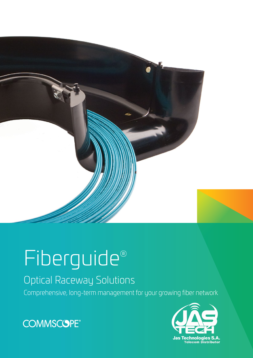

# Fiberguide®

# Optical Raceway Solutions

Comprehensive, long-term management for your growing fiber network



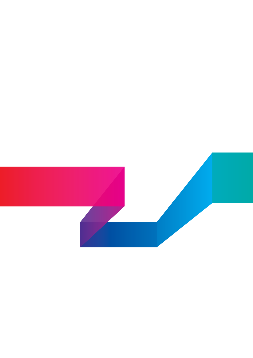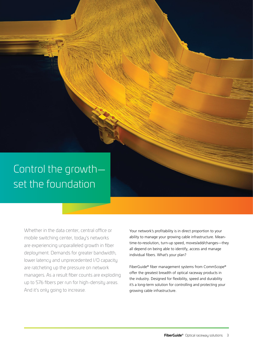### Control the growth set the foundation

Whether in the data center, central office or mobile switching center, today's networks are experiencing unparalleled growth in fiber deployment. Demands for greater bandwidth, lower latency and unprecedented I/O capacity are ratcheting up the pressure on network managers. As a result fiber counts are exploding up to 576 fibers per run for high-density areas. And it's only going to increase.

Your network's profitability is in direct proportion to your ability to manage your growing cable infrastructure. Meantime-to-resolution, turn-up speed, moves/add/changes—they all depend on being able to identify, access and manage individual fibers. What's your plan?

FiberGuide® fiber management systems from CommScope® offer the greatest breadth of optical raceway products in the industry. Designed for flexibility, speed and durability it's a long-term solution for controlling and protecting your growing cable infrastructure.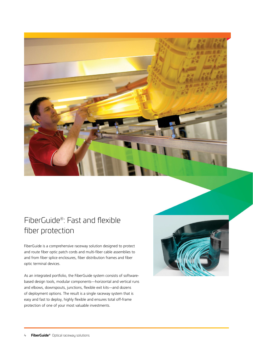

### FiberGuide®: Fast and flexible fiber protection

FiberGuide is a comprehensive raceway solution designed to protect and route fiber optic patch cords and multi-fiber cable assemblies to and from fiber splice enclosures, fiber distribution frames and fiber optic terminal devices.

As an integrated portfolio, the FiberGuide system consists of softwarebased design tools, modular components—horizontal and vertical runs and elbows, downspouts, junctions, flexible exit kits—and dozens of deployment options. The result is a single raceway system that is easy and fast to deploy, highly flexible and ensures total off-frame protection of one of your most valuable investments.

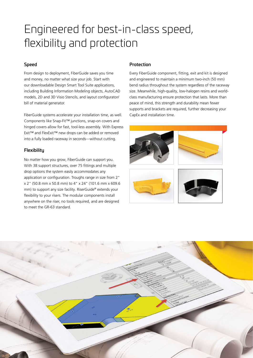# Engineered for best-in-class speed, flexibility and protection

### Speed

From design to deployment, FiberGuide saves you time and money, no matter what size your job. Start with our downloadable Design Smart Tool Suite applications, including Building Information Modeling objects, AutoCAD models, 2D and 3D Visio Stencils, and layout configurator/ bill of material generator.

FiberGuide systems accelerate your installation time, as well. Components like Snap-Fit™ junctions, snap-on covers and hinged covers allow for fast, tool-less assembly. With Express Exit™ and FlexExit™ new drops can be added or removed into a fully loaded raceway in seconds—without cutting.

### **Flexibility**

No matter how you grow, FiberGuide can support you. With 38 support structures, over 75 fittings and multiple drop options the system easily accommodates any application or configuration. Troughs range in size from 2" x 2" (50.8 mm x 50.8 mm) to 4" x 24" (101.6 mm x 609.6 mm) to support any size facility. RiserGuide® extends your flexibility to your risers. The modular components install anywhere on the riser, no tools required, and are designed to meet the GR-63 standard.

### **Protection**

Every FiberGuide component, fitting, exit and kit is designed and engineered to maintain a minimum two-inch (50 mm) bend radius throughout the system regardless of the raceway size. Meanwhile, high-quality, low-halogen resins and worldclass manufacturing ensure protection that lasts. More than peace of mind, this strength and durability mean fewer supports and brackets are required, further decreasing your CapEx and installation time.



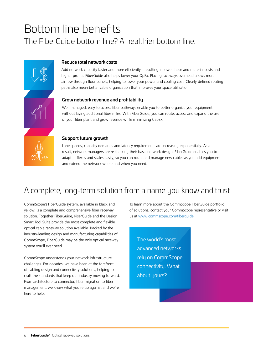### Bottom line benefits The FiberGuide bottom line? A healthier bottom line.



### Reduce total network costs

Add network capacity faster and more efficiently—resulting in lower labor and material costs and higher profits. FiberGuide also helps lower your OpEx. Placing raceways overhead allows more airflow through floor panels, helping to lower your power and cooling cost. Clearly-defined routing paths also mean better cable organization that improves your space utilization.

#### Grow network revenue and profitability

Well-managed, easy-to-access fiber pathways enable you to better organize your equipment without laying additional fiber miles. With FiberGuide, you can route, access and expand the use of your fiber plant and grow revenue while minimizing CapEx.

### Support future growth

Lane speeds, capacity demands and latency requirements are increasing exponentially. As a result, network managers are re-thinking their basic network design. FiberGuide enables you to adapt. It flexes and scales easily, so you can route and manage new cables as you add equipment and extend the network where and when you need.

### A complete, long-term solution from a name you know and trust

CommScope's FiberGuide system, available in black and yellow, is a complete and comprehensive fiber raceway solution. Together FiberGuide, RiserGuide and the Design Smart Tool Suite provide the most complete and flexible optical cable raceway solution available. Backed by the industry-leading design and manufacturing capabilities of CommScope, FiberGuide may be the only optical raceway system you'll ever need.

CommScope understands your network infrastructure challenges. For decades, we have been at the forefront of cabling design and connectivity solutions, helping to craft the standards that keep our industry moving forward. From architecture to connector, fiber migration to fiber management, we know what you're up against and we're here to help.

To learn more about the CommScope FiberGuide portfolio of solutions, contact your CommScope representative or visit us at www.commscope.com/fiberguide.

The world's most advanced networks rely on CommScope connectivity. What about yours?